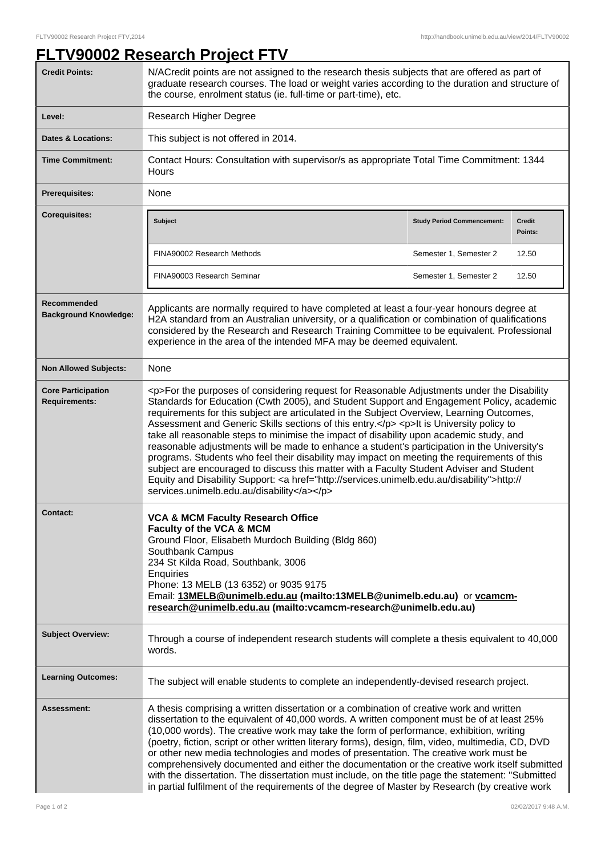## **FLTV90002 Research Project FTV Credit Points:** N/ACredit points are not assigned to the research thesis subjects that are offered as part of graduate research courses. The load or weight varies according to the duration and structure of the course, enrolment status (ie. full-time or part-time), etc. Level: Research Higher Degree **Dates & Locations:** This subject is not offered in 2014. **Time Commitment:** Contact Hours: Consultation with supervisor/s as appropriate Total Time Commitment: 1344 **Hours** Prerequisites: None **Corequisites: Subject Study Period Commencement: Credit Points:** FINA90002 Research Methods Semester 1, Semester 2 12.50 FINA90003 Research Seminar Semester 2 2 12.50 **Recommended Background Knowledge:** Applicants are normally required to have completed at least a four-year honours degree at H2A standard from an Australian university, or a qualification or combination of qualifications considered by the Research and Research Training Committee to be equivalent. Professional experience in the area of the intended MFA may be deemed equivalent. **Non Allowed Subjects:** None **Core Participation Requirements:** <p>For the purposes of considering request for Reasonable Adjustments under the Disability Standards for Education (Cwth 2005), and Student Support and Engagement Policy, academic requirements for this subject are articulated in the Subject Overview, Learning Outcomes, Assessment and Generic Skills sections of this entry.</p> <p>It is University policy to take all reasonable steps to minimise the impact of disability upon academic study, and reasonable adjustments will be made to enhance a student's participation in the University's programs. Students who feel their disability may impact on meeting the requirements of this subject are encouraged to discuss this matter with a Faculty Student Adviser and Student Equity and Disability Support: <a href="http://services.unimelb.edu.au/disability">http:// services.unimelb.edu.au/disability</a></p> **Contact: VCA & MCM Faculty Research Office Faculty of the VCA & MCM** Ground Floor, Elisabeth Murdoch Building (Bldg 860) Southbank Campus 234 St Kilda Road, Southbank, 3006 **Enquiries** Phone: 13 MELB (13 6352) or 9035 9175 Email: **13MELB@unimelb.edu.au (mailto:13MELB@unimelb.edu.au)** or **vcamcmresearch@unimelb.edu.au (mailto:vcamcm-research@unimelb.edu.au) Subject Overview:** Through a course of independent research students will complete a thesis equivalent to 40,000 words. **Learning Outcomes:** The subject will enable students to complete an independently-devised research project. **Assessment:** A thesis comprising a written dissertation or a combination of creative work and written dissertation to the equivalent of 40,000 words. A written component must be of at least 25% (10,000 words). The creative work may take the form of performance, exhibition, writing (poetry, fiction, script or other written literary forms), design, film, video, multimedia, CD, DVD or other new media technologies and modes of presentation. The creative work must be comprehensively documented and either the documentation or the creative work itself submitted with the dissertation. The dissertation must include, on the title page the statement: "Submitted in partial fulfilment of the requirements of the degree of Master by Research (by creative work